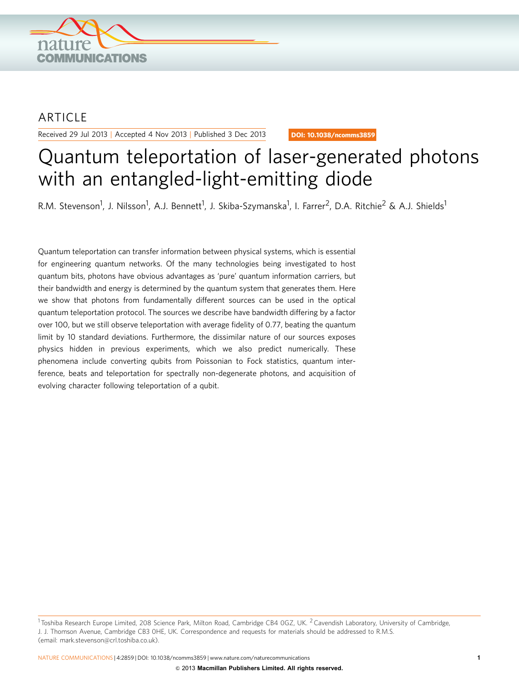

## **ARTICLE**

Received 29 Jul 2013 | Accepted 4 Nov 2013 | Published 3 Dec 2013

DOI: 10.1038/ncomms3859

# Quantum teleportation of laser-generated photons with an entangled-light-emitting diode

R.M. Stevenson<sup>1</sup>, J. Nilsson<sup>1</sup>, A.J. Bennett<sup>1</sup>, J. Skiba-Szymanska<sup>1</sup>, I. Farrer<sup>2</sup>, D.A. Ritchie<sup>2</sup> & A.J. Shields<sup>1</sup>

Quantum teleportation can transfer information between physical systems, which is essential for engineering quantum networks. Of the many technologies being investigated to host quantum bits, photons have obvious advantages as 'pure' quantum information carriers, but their bandwidth and energy is determined by the quantum system that generates them. Here we show that photons from fundamentally different sources can be used in the optical quantum teleportation protocol. The sources we describe have bandwidth differing by a factor over 100, but we still observe teleportation with average fidelity of 0.77, beating the quantum limit by 10 standard deviations. Furthermore, the dissimilar nature of our sources exposes physics hidden in previous experiments, which we also predict numerically. These phenomena include converting qubits from Poissonian to Fock statistics, quantum interference, beats and teleportation for spectrally non-degenerate photons, and acquisition of evolving character following teleportation of a qubit.

<sup>&</sup>lt;sup>1</sup> Toshiba Research Europe Limited, 208 Science Park, Milton Road, Cambridge CB4 0GZ, UK. <sup>2</sup> Cavendish Laboratory, University of Cambridge, J. J. Thomson Avenue, Cambridge CB3 0HE, UK. Correspondence and requests for materials should be addressed to R.M.S. (email: [mark.stevenson@crl.toshiba.co.uk](mailto:mark.stevenson@crl.toshiba.co.uk)).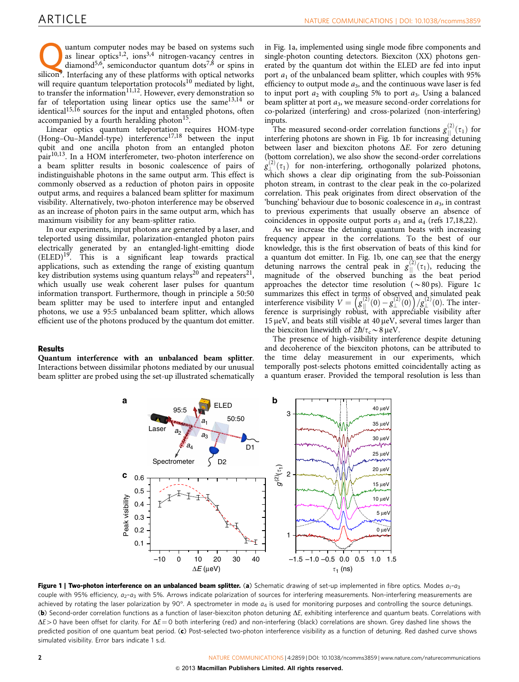<span id="page-1-0"></span>**Quantum computer nodes may be based on systems such as linear optics**<sup>1,2</sup>, ions<sup>3,4</sup> nitrogen-vacancy centres in diamond<sup>[5,6](#page-5-0)</sup>, semiconductor quantum dots<sup>[7,8](#page-5-0)</sup> or spins in site of the system of these platforms with optic as linear optics<sup>[1,2](#page-5-0)</sup>, ions<sup>[3,4](#page-5-0)</sup> nitrogen-vacancy centres in silicon<sup>9</sup>. Interfacing any of these platforms with optical networks will require quantum teleportation protocols $^{10}$  $^{10}$  $^{10}$  mediated by light, to transfer the information<sup>11,12</sup>. However, every demonstration so far of teleportation using linear optics use the same  $13,14$  or identical<sup>[15,16](#page-5-0)</sup> sources for the input and entangled photons, often accompanied by a fourth heralding photon $15$ .

Linear optics quantum teleportation requires HOM-type (Hong-Ou-Mandel-type) interference<sup>[17,18](#page-5-0)</sup> between the input qubit and one ancilla photon from an entangled photon pair[10,13.](#page-5-0) In a HOM interferometer, two-photon interference on a beam splitter results in bosonic coalescence of pairs of indistinguishable photons in the same output arm. This effect is commonly observed as a reduction of photon pairs in opposite output arms, and requires a balanced beam splitter for maximum visibility. Alternatively, two-photon interference may be observed as an increase of photon pairs in the same output arm, which has maximum visibility for any beam-splitter ratio.

In our experiments, input photons are generated by a laser, and teleported using dissimilar, polarization-entangled photon pairs electrically generated by an entangled-light-emitting diode (ELED)<sup>19</sup>. This is a significant leap towards practical applications, such as extending the range of existing quantum key distribution systems using quantum relays<sup>[20](#page-5-0)</sup> and repeaters<sup>21</sup>, which usually use weak coherent laser pulses for quantum information transport. Furthermore, though in principle a 50:50 beam splitter may be used to interfere input and entangled photons, we use a 95:5 unbalanced beam splitter, which allows efficient use of the photons produced by the quantum dot emitter.

Results

Quantum interference with an unbalanced beam splitter. Interactions between dissimilar photons mediated by our unusual beam splitter are probed using the set-up illustrated schematically

in Fig. 1a, implemented using single mode fibre components and single-photon counting detectors. Biexciton (XX) photons generated by the quantum dot within the ELED are fed into input port  $a_1$  of the unbalanced beam splitter, which couples with 95% efficiency to output mode  $a_3$ , and the continuous wave laser is fed to input port  $a_2$  with coupling 5% to port  $a_3$ . Using a balanced beam splitter at port  $a_3$ , we measure second-order correlations for co-polarized (interfering) and cross-polarized (non-interfering) inputs.

The measured second-order correlation functions  $g_{\parallel}^{(2)}(\tau_1)$  for interfering photons are shown in Fig. 1b for increasing detuning between laser and biexciton photons  $\Delta E$ . For zero detuning (bottom correlation), we also show the second-order correlations  $g^{(2)}_{\perp}(\tau_1)$  for non-interfering, orthogonally polarized photons, which shows a clear dip originating from the sub-Poissonian photon stream, in contrast to the clear peak in the co-polarized correlation. This peak originates from direct observation of the 'bunching' behaviour due to bosonic coalescence in  $a_3$ , in contrast to previous experiments that usually observe an absence of coincidences in opposite output ports  $a_3$  and  $a_4$  ([refs 17,18,22\)](#page-5-0).

As we increase the detuning quantum beats with increasing frequency appear in the correlations. To the best of our knowledge, this is the first observation of beats of this kind for a quantum dot emitter. In Fig. 1b, one can see that the energy detuning narrows the central peak in  $g_{\parallel}^{(2)}(\tau_1)$ , reducing the magnitude of the observed bunching as the beat period approaches the detector time resolution ( $\sim 80 \text{ ps}$ ). Figure 1c summarizes this effect in terms of observed and simulated peak summarizes this effect in terms of observed and simulated peak<br>interference visibility  $V = \left(g_{\parallel}^{(2)}(0) - g_{\perp}^{(2)}(0)\right)/g_{\perp}^{(2)}(0)$ . The interference is surprisingly robust, with appreciable visibility after  $15 \mu$ eV, and beats still visible at 40  $\mu$ eV, several times larger than the biexciton linewidth of  $2\hbar/\tau_c \sim 8 \,\mu\text{eV}$ .

The presence of high-visibility interference despite detuning and decoherence of the biexciton photons, can be attributed to the time delay measurement in our experiments, which temporally post-selects photons emitted coincidentally acting as a quantum eraser. Provided the temporal resolution is less than



Figure 1 | Two-photon interference on an unbalanced beam splitter. (a) Schematic drawing of set-up implemented in fibre optics. Modes  $a_1-a_3$ couple with 95% efficiency,  $a_2-a_3$  with 5%. Arrows indicate polarization of sources for interfering measurements. Non-interfering measurements are achieved by rotating the laser polarization by 90°. A spectrometer in mode  $a_4$  is used for monitoring purposes and controlling the source detunings. (b) Second-order correlation functions as a function of laser-biexciton photon detuning  $\Delta E$ , exhibiting interference and quantum beats. Correlations with  $\Delta E > 0$  have been offset for clarity. For  $\Delta E = 0$  both interfering (red) and non-interfering (black) correlations are shown. Grey dashed line shows the predicted position of one quantum beat period. (c) Post-selected two-photon interference visibility as a function of detuning. Red dashed curve shows simulated visibility. Error bars indicate 1 s.d.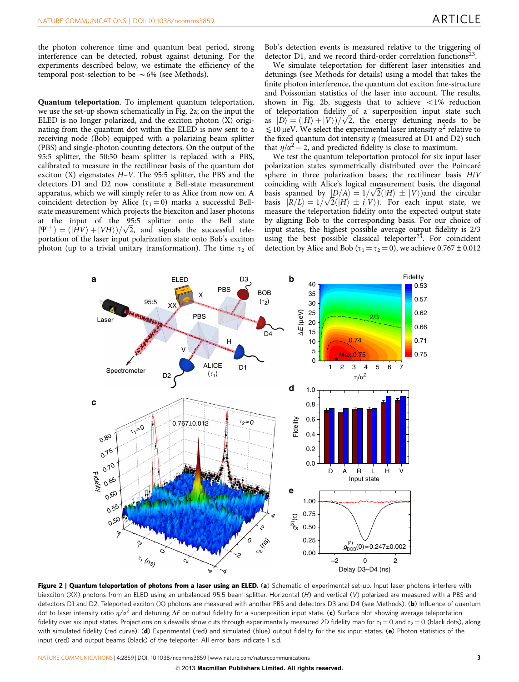<span id="page-2-0"></span>the photon coherence time and quantum beat period, strong interference can be detected, robust against detuning. For the experiments described below, we estimate the efficiency of the temporal post-selection to be  $\sim 6\%$  (see Methods).

Quantum teleportation. To implement quantum teleportation, we use the set-up shown schematically in Fig. 2a; on the input the ELED is no longer polarized, and the exciton photon (X) originating from the quantum dot within the ELED is now sent to a receiving node (Bob) equipped with a polarizing beam splitter (PBS) and single-photon counting detectors. On the output of the 95:5 splitter, the 50:50 beam splitter is replaced with a PBS, calibrated to measure in the rectilinear basis of the quantum dot exciton  $(X)$  eigenstates  $H-V$ . The 95:5 splitter, the PBS and the detectors D1 and D2 now constitute a Bell-state measurement apparatus, which we will simply refer to as Alice from now on. A coincident detection by Alice ( $\tau_1 = 0$ ) marks a successful Bellstate measurement which projects the biexciton and laser photons at the input of the 95:5 splitter onto the Bell state at the input of the 95:5 spitter onto the Bell state<br> $|\Psi^+\rangle = (|HV\rangle + |VH\rangle)/\sqrt{2}$ , and signals the successful teleportation of the laser input polarization state onto Bob's exciton photon (up to a trivial unitary transformation). The time  $\tau_2$  of Bob's detection events is measured relative to the triggering of detector D1, and we record third-order correlation functions $^{23}$  $^{23}$  $^{23}$ .

We simulate teleportation for different laser intensities and detunings (see Methods for details) using a model that takes the finite photon interference, the quantum dot exciton fine-structure and Poissonian statistics of the laser into account. The results, shown in Fig. 2b, suggests that to achieve  $\langle 1\% \rangle$  reduction of teleportation fidelity of a superposition input state such of teleportation fidelity of a superposition input state such as  $|D\rangle = (|H\rangle + |V\rangle)/\sqrt{2}$ , the energy detuning needs to be  $\leq 10$  µeV. We select the experimental laser intensity  $\alpha^2$  relative to the fixed quantum dot intensity  $\eta$  (measured at D1 and D2) such that  $\eta/\alpha^2 = 2$ , and predicted fidelity is close to maximum.

We test the quantum teleportation protocol for six input laser polarization states symmetrically distributed over the Poincaré sphere in three polarization bases; the rectilinear basis H/V coinciding with Alice's logical measurement basis, the diagonal coinciding with Alice's logical measurement basis, the diagonal basis spanned by  $|D/A\rangle = 1/\sqrt{2}(|H\rangle \pm |V\rangle)$  and the circular basis spanned by  $|D/A\rangle = 1/\sqrt{2}(|H\rangle \pm |V\rangle)$ . For each input state, we basis  $|R/L\rangle = 1/\sqrt{2}(|H\rangle \pm i|V\rangle)$ . For each input state, we measure the teleportation fidelity onto the expected output state by aligning Bob to the corresponding basis. For our choice of input states, the highest possible average output fidelity is 2/3 using the best possible classical teleporter $2<sup>3</sup>$ . For coincident detection by Alice and Bob ( $\tau_1 = \tau_2 = 0$ ), we achieve 0.767  $\pm$  0.012



Figure 2 | Quantum teleportation of photons from a laser using an ELED. (a) Schematic of experimental set-up. Input laser photons interfere with biexciton (XX) photons from an ELED using an unbalanced 95:5 beam splitter. Horizontal (H) and vertical (V) polarized are measured with a PBS and detectors D1 and D2. Teleported exciton (X) photons are measured with another PBS and detectors D3 and D4 (see Methods). (b) Influence of quantum dot to laser intensity ratio  $\eta/\alpha^2$  and detuning  $\Delta E$  on output fidelity for a superposition input state. (c) Surface plot showing average teleportation fidelity over six input states. Projections on sidewalls show cuts through experimentally measured 2D fidelity map for  $\tau_1 = 0$  and  $\tau_2 = 0$  (black dots), along with simulated fidelity (red curve). (d) Experimental (red) and simulated (blue) output fidelity for the six input states. (e) Photon statistics of the input (red) and output beams (black) of the teleporter. All error bars indicate 1 s.d.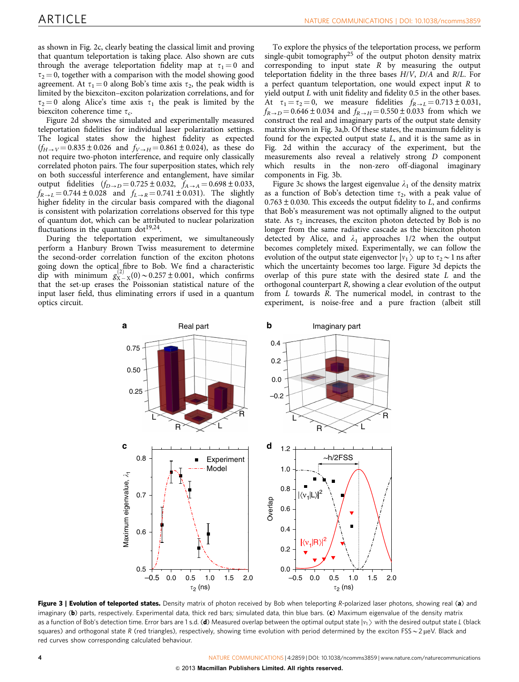<span id="page-3-0"></span>as shown in [Fig. 2c](#page-2-0), clearly beating the classical limit and proving that quantum teleportation is taking place. Also shown are cuts through the average teleportation fidelity map at  $\tau_1 = 0$  and  $\tau_2 = 0$ , together with a comparison with the model showing good agreement. At  $\tau_1 = 0$  along Bob's time axis  $\tau_2$ , the peak width is limited by the biexciton–exciton polarization correlations, and for  $\tau_2 = 0$  along Alice's time axis  $\tau_1$  the peak is limited by the biexciton coherence time  $\tau_c$ .

[Figure 2d](#page-2-0) shows the simulated and experimentally measured teleportation fidelities for individual laser polarization settings. The logical states show the highest fidelity as expected  $(f_{H\to V} = 0.835 \pm 0.026$  and  $f_{V\to H} = 0.861 \pm 0.024$ , as these do not require two-photon interference, and require only classically correlated photon pairs. The four superposition states, which rely on both successful interference and entanglement, have similar output fidelities  $(f_{D\to D} = 0.725 \pm 0.032, f_{A\to A} = 0.698 \pm 0.033,$  $f_{R \to L} = 0.744 \pm 0.028$  and  $f_{L \to R} = 0.741 \pm 0.031$ ). The slightly higher fidelity in the circular basis compared with the diagonal is consistent with polarization correlations observed for this type of quantum dot, which can be attributed to nuclear polarization fluctuations in the quantum dot<sup>[19,24](#page-5-0)</sup>.

During the teleportation experiment, we simultaneously perform a Hanbury Brown Twiss measurement to determine the second-order correlation function of the exciton photons going down the optical fibre to Bob. We find a characteristic dip with minimum  $g_{X-X}^{(2)}(0) \sim 0.257 \pm 0.001$ , which confirms that the set-up erases the Poissonian statistical nature of the input laser field, thus eliminating errors if used in a quantum optics circuit.

To explore the physics of the teleportation process, we perform single-qubit tomography<sup>25</sup> of the output photon density matrix corresponding to input state  $R$  by measuring the output teleportation fidelity in the three bases H/V, D/A and R/L. For a perfect quantum teleportation, one would expect input R to yield output L with unit fidelity and fidelity 0.5 in the other bases. At  $\tau_1 = \tau_2 = 0$ , we measure fidelities  $f_{R \to L} = 0.713 \pm 0.031$ ,  $f_{R\to D} = 0.646 \pm 0.034$  and  $f_{R\to H} = 0.550 \pm 0.033$  from which we construct the real and imaginary parts of the output state density matrix shown in Fig. 3a,b. Of these states, the maximum fidelity is found for the expected output state L, and it is the same as in [Fig. 2d](#page-2-0) within the accuracy of the experiment, but the measurements also reveal a relatively strong D component which results in the non-zero off-diagonal imaginary components in Fig. 3b.

Figure 3c shows the largest eigenvalue  $\lambda_1$  of the density matrix as a function of Bob's detection time  $\tau_2$ , with a peak value of  $0.763 \pm 0.030$ . This exceeds the output fidelity to L, and confirms that Bob's measurement was not optimally aligned to the output state. As  $\tau_2$  increases, the exciton photon detected by Bob is no longer from the same radiative cascade as the biexciton photon detected by Alice, and  $\lambda_1$  approaches 1/2 when the output becomes completely mixed. Experimentally, we can follow the evolution of the output state eigenvector  $|v_1\rangle$  up to  $\tau_2 \sim 1$  ns after which the uncertainty becomes too large. Figure 3d depicts the overlap of this pure state with the desired state L and the orthogonal counterpart R, showing a clear evolution of the output from L towards R. The numerical model, in contrast to the experiment, is noise-free and a pure fraction (albeit still



Figure 3 | Evolution of teleported states. Density matrix of photon received by Bob when teleporting R-polarized laser photons, showing real (a) and imaginary (b) parts, respectively. Experimental data, thick red bars; simulated data, thin blue bars. (c) Maximum eigenvalue of the density matrix as a function of Bob's detection time. Error bars are 1 s.d. (d) Measured overlap between the optimal output state  $|v_1\rangle$  with the desired output state L (black squares) and orthogonal state R (red triangles), respectively, showing time evolution with period determined by the exciton FSS ~ 2 µeV. Black and red curves show corresponding calculated behaviour.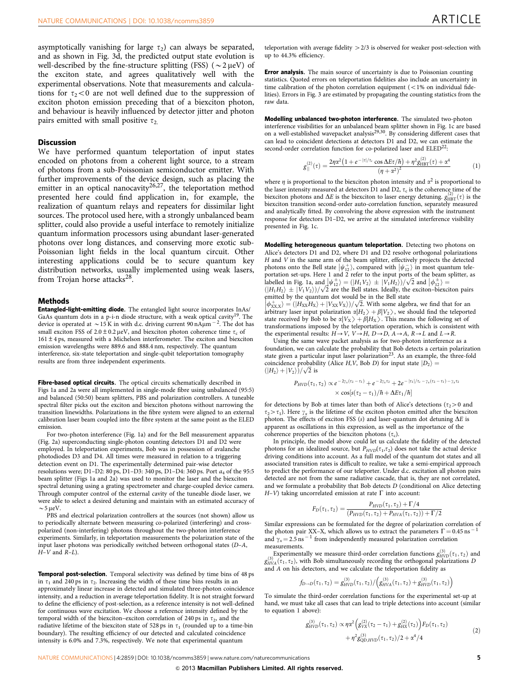asymptotically vanishing for large  $\tau_2$ ) can always be separated, and as shown in [Fig. 3d](#page-3-0), the predicted output state evolution is well-described by the fine-structure splitting (FSS) ( $\sim$ 2  $\mu$ eV) of the exciton state, and agrees qualitatively well with the experimental observations. Note that measurements and calculations for  $\tau_2$ <0 are not well defined due to the suppression of exciton photon emission preceding that of a biexciton photon, and behaviour is heavily influenced by detector jitter and photon pairs emitted with small positive  $\tau_{2}$ .

### Discussion

We have performed quantum teleportation of input states encoded on photons from a coherent light source, to a stream of photons from a sub-Poissonian semiconductor emitter. With further improvements of the device design, such as placing the emitter in an optical nanocavity<sup>[26,27](#page-5-0)</sup>, the teleportation method presented here could find application in, for example, the realization of quantum relays and repeaters for dissimilar light sources. The protocol used here, with a strongly unbalanced beam splitter, could also provide a useful interface to remotely initialize quantum information processors using abundant laser-generated photons over long distances, and conserving more exotic sub-Poissonian light fields in the local quantum circuit. Other interesting applications could be to secure quantum key distribution networks, usually implemented using weak lasers, from Trojan horse attacks $^{28}$  $^{28}$  $^{28}$ .

### **Methods**

Entangled-light-emitting diode. The entangled light source incorporates InAs/ GaAs quantum dots in a p-i-n diode structure, with a weak optical cavity<sup>[19](#page-5-0)</sup>. The device is operated at  $\sim$  15 K in with d.c. driving current 90 nA $\mu$ m  $^{-2}$ . The dot has small exciton FSS of  $2.0 \pm 0.2 \mu\text{eV}$ , and biexciton photon coherence time  $\tau_c$  of  $161 \pm 4$  ps, measured with a Michelson interferometer. The exciton and biexciton emission wavelengths were 889.6 and 888.4 nm, respectively. The quantum interference, six-state teleportation and single-qubit teleportation tomography results are from three independent experiments.

Fibre-based optical circuits. The optical circuits schematically described in [Figs 1a and 2a](#page-1-0) were all implemented in single-mode fibre using unbalanced (95:5) and balanced (50:50) beam splitters, PBS and polarization controllers. A tuneable spectral filter picks out the exciton and biexciton photons without narrowing the transition linewidths. Polarizations in the fibre system were aligned to an external calibration laser beam coupled into the fibre system at the same point as the ELED emission.

For two-photon interference ([Fig. 1a\)](#page-1-0) and for the Bell measurement apparatus [\(Fig. 2a](#page-2-0)) superconducting single-photon counting detectors D1 and D2 were employed. In teleportation experiments, Bob was in possession of avalanche photodiodes D3 and D4. All times were measured in relation to a triggering detection event on D1. The experimentally determined pair-wise detector resolutions were; D1-D2: 80 ps, D1-D3: 340 ps, D1-D4: 360 ps. Port  $a_4$  of the 95:5 beam splitter [\(Figs 1a and 2a\)](#page-1-0) was used to monitor the laser and the biexciton spectral detuning using a grating spectrometer and charge-coupled device camera. Through computer control of the external cavity of the tuneable diode laser, we were able to select a desired detuning and maintain with an estimated accuracy of  $\sim$  5 µeV.

PBS and electrical polarization controllers at the sources (not shown) allow us to periodically alternate between measuring co-polarized (interfering) and crosspolarized (non-interfering) photons throughout the two-photon interference experiments. Similarly, in teleportation measurements the polarization state of the input laser photons was periodically switched between orthogonal states (D–A,  $H-V$  and  $R-L$ ).

**Temporal post-selection.** Temporal selectivity was defined by time bins of 48 ps in  $\tau_1$  and 240 ps in  $\tau_2$ . Increasing the width of these time bins results in an approximately linear increase in detected and simulated three-photon coincidence intensity, and a reduction in average teleportation fidelity. It is not straight forward to define the efficiency of post-selection, as a reference intensity is not well-defined for continuous wave excitation. We choose a reference intensity defined by the temporal width of the biexciton–exciton correlation of 240 ps in  $\tau_2$ , and the radiative lifetime of the biexciton state of 528 ps in  $\tau_1$  (rounded up to a time-bin boundary). The resulting efficiency of our detected and calculated coincidence intensity is 6.0% and 7.3%, respectively. We note that experimental quantum

teleportation with average fidelity  $>2/3$  is observed for weaker post-selection with up to 44.3% efficiency.

**Error analysis.** The main source of uncertainty is due to Poissonian counting statistics. Quoted errors on teleportation fidelities also include an uncertainty in time calibration of the photon correlation equipment  $(<1%$  on individual fidelities). Errors in [Fig. 3](#page-3-0) are estimated by propagating the counting statistics from the raw data.

Modelling unbalanced two-photon interference. The simulated two-photon interference visibilities for an unbalanced beam splitter shown in [Fig. 1c](#page-1-0) are based<br>on a well-established wavepacket analysis<sup>[29,30](#page-5-0)</sup>. By considering different cases that can lead to coincident detections at detectors  $D_1$  and  $D_2$ , we can estimate the second-order correlation function for co-polarized laser and ELED<sup>22</sup>:

$$
g_{\parallel}^{(2)}(\tau) = \frac{2\eta\alpha^2\left(1 + e^{-|\tau|/\tau_c} \cos \Delta E \tau/\hbar\right) + \eta^2 g_{\text{HBT}}^{(2)}(\tau) + \alpha^4}{\left(\eta + \alpha^2\right)^2} \tag{1}
$$

where  $\eta$  is proportional to the biexciton photon intensity and  $\alpha^2$  is proportional to the laser intensity measured at detectors  $\overline{D}1$  and  $\overline{D}2$ ,  $\tau_c$  is the coherence time of the biexciton photons and  $\Delta E$  is the biexciton to laser energy detuning.  $g_{HBT}^{(2)}(\tau)$  is the biexciton transition second-order auto-correlation function, separately measured and analytically fitted. By convolving the above expression with the instrument response for detectors D1–D2, we arrive at the simulated interference visibility presented in [Fig. 1c.](#page-1-0)

Modelling heterogeneous quantum teleportation. Detecting two photons on Alice's detectors D1 and D2, where D1 and D2 resolve orthogonal polarizations H and V in the same arm of the beam splitter, effectively projects the detected the and  $\bf{v}$  in the same arm of the beam spinter, encentry projects the detected<br>photons onto the Bell state  $|\psi_{12}^+\rangle$ , compared with  $|\psi_{12}^-\rangle$  in most quantum teleportation set-ups. Here 1 and 2 refer to the input ports of the beam splitter, as portation set-ups. Here 1 and 2 reter to the input ports of the beam spitter, a<br>labelled in [Fig. 1a,](#page-1-0) and  $|\psi_{12}^{+}\rangle = (|H_1V_2\rangle \pm |V_1H_2\rangle)/\sqrt{2}$  and  $|\phi_{12}^{+}\rangle = (|H_1H_2\rangle \pm |V_1V_2\rangle)/\sqrt{2}$  are the Bell states. Ideally,

emitted by the quantum dot would be in the Bell state emitted by the quantum dot would be in the bell state<br>  $\left| \phi_{\text{XX},X}^{\text{H}} \right\rangle = (|H_{XX}H_X\rangle + |V_{XX}V_X\rangle)/\sqrt{2}$ . With some algebra, we find that for an  $\frac{|\Psi_{XX,X'}| - |\Psi_{XX} \Psi_{X,J'}|}{|\Psi_{XX} \Psi_{XX'}|}$  is the teleported input polarization  $\alpha|H_2\rangle + \beta|H_3\rangle$ , we should find the teleported state received by Bob to be  $\alpha|V_x\rangle + \beta|H_x\rangle$ . This means the following set of state received by Bob to be  $\alpha|V_X\rangle + \beta|H_X\rangle$ . This means the following set of transformations imposed by the teleportation operation, which is consistent with the experimental results:  $H \rightarrow V$ ,  $V \rightarrow H$ ,  $D \rightarrow D$ ,  $A \rightarrow A$ ,  $R \rightarrow L$  and  $L \rightarrow R$ .

Using the same wave packet analysis as for two-photon interference as a foundation, we can calculate the probability that Bob detects a certain polarization state given a particular input laser polarization<sup>23</sup>. As an example, the three-fold coincidence probability (Alice H, V, Bob D) for input state  $|D_2\rangle$  = coincidence probability  $(|H_2\rangle + |V_2\rangle)/\sqrt{2}$  is

$$
\begin{aligned} P_{HVD}(\tau_1,\tau_2) &\propto e^{-2\gamma_x(\tau_2-\tau_1)}+e^{-2\gamma_x\tau_2}+2e^{-|\tau_1|/\tau_c-\gamma_x(\tau_2-\tau_1)-\gamma_x\tau_2}\\ &\times cos[s(\tau_2-\tau_1)/\hbar+\Delta E\tau_1/\hbar] \end{aligned}
$$

for detections by Bob at times later than both of Alice's detections ( $\tau_2$ >0 and  $\tau_2 > \tau_1$ ). Here  $\gamma_x$  is the lifetime of the exciton photon emitted after the biexciton photon. The effects of exciton FSS (s) and laser-quantum dot detuning  $\Delta E$  is apparent as oscillations in this expression, as well as the importance of the coherence properties of the biexciton photons  $(\tau_c)$ .

In principle, the model above could let us calculate the fidelity of the detected photons for an idealized source, but  $P_{HVD}(\tau_1,\tau_2)$  does not take the actual device driving conditions into account. As a full model of the quantum dot states and all associated transition rates is difficult to realize, we take a semi-empirical approach to predict the performance of our teleporter. Under d.c. excitation all photon pairs detected are not from the same radiative cascade, that is, they are not correlated, and we formulate a probability that Bob detects D (conditional on Alice detecting  $H-V$ ) taking uncorrelated emission at rate  $\Gamma$  into account:

$$
F_D(\tau_1, \tau_2) = \frac{P_{HVD}(\tau_1, \tau_2) + \Gamma/4}{(P_{HVD}(\tau_1, \tau_2) + P_{HVA}(\tau_1, \tau_2)) + \Gamma/2}
$$

Similar expressions can be formulated for the degree of polarization correlation of<br>the photon pair  $XX-X$  which allows us to extract the parameters  $\Gamma = 0.45$  ps<sup>-1</sup> the photon pair XX–X, which allows us to extract the parameters  $\Gamma = 0.45$  ns and  $\gamma_x = 2.5$  ns<sup>-1</sup> from independently measured polarization correlation measurements.

Experimentally we measure third-order correlation functions  $g_{HVA}^{(3)}(\tau_1, \tau_2)$  and  $g_{HVA}^{(3)}(\tau_1, \tau_2)$ , with Bob simultaneously recording the orthogonal polarizations D and A on his detectors, and we calculate the teleportation fidelity as

$$
f_{D\to D}(\tau_1,\tau_2)=g_{HVD}^{(3)}(\tau_1,\tau_2)/\left(g_{HVA}^{(3)}(\tau_1,\tau_2)+g_{HVD}^{(3)}(\tau_1,\tau_2)\right)
$$

To simulate the third-order correlation functions for the experimental set-up at hand, we must take all cases that can lead to triple detections into account (similar to equation 1 above):

$$
g_{HVD}^{(3)}(\tau_1, \tau_2) \propto \eta \alpha^2 \Big( g_{VX}^{(2)}(\tau_2 - \tau_1) + g_{HX}^{(2)}(\tau_2) \Big) F_D(\tau_1, \tau_2) + \eta^2 g_{QD,HVD}^{(3)}(\tau_1, \tau_2) / 2 + \alpha^4 / 4
$$
 (2)